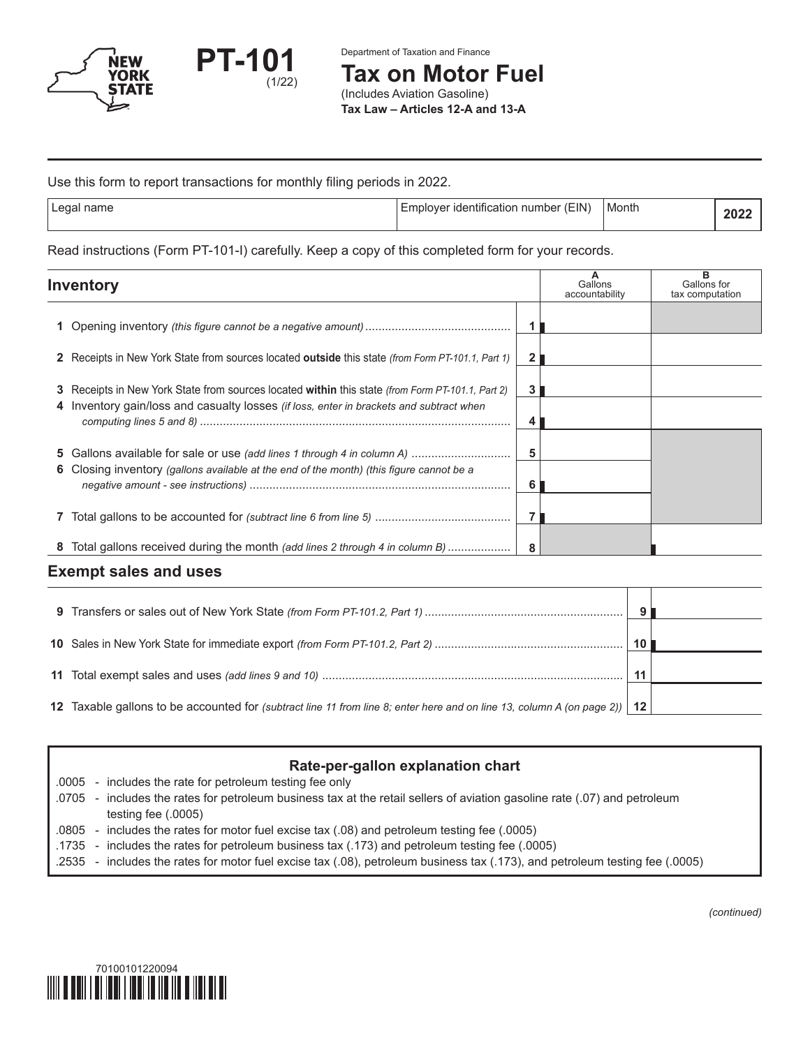

Department of Taxation and Finance

**Tax on Motor Fuel**

(Includes Aviation Gasoline) **Tax Law – Articles 12-A and 13-A**

#### Use this form to report transactions for monthly filing periods in 2022.

| Legal name | (EIN)<br>∶identification number<br>hplover | Month | ZU. |
|------------|--------------------------------------------|-------|-----|

Read instructions (Form PT-101-I) carefully. Keep a copy of this completed form for your records.

| <b>Inventory</b>                                                                                  |   | Gallons<br>accountability | Gallons for<br>tax computation |
|---------------------------------------------------------------------------------------------------|---|---------------------------|--------------------------------|
|                                                                                                   |   |                           |                                |
| 2 Receipts in New York State from sources located outside this state (from Form PT-101.1, Part 1) |   |                           |                                |
| 3 Receipts in New York State from sources located within this state (from Form PT-101.1, Part 2)  |   |                           |                                |
| 4 Inventory gain/loss and casualty losses <i>(if loss, enter in brackets and subtract when</i>    | 4 |                           |                                |
| 5 Gallons available for sale or use (add lines 1 through 4 in column A)                           | 5 |                           |                                |
| 6 Closing inventory (gallons available at the end of the month) (this figure cannot be a          | 6 |                           |                                |
|                                                                                                   |   |                           |                                |
| 8 Total gallons received during the month (add lines 2 through 4 in column B)                     | 8 |                           |                                |
|                                                                                                   |   |                           |                                |

# **Exempt sales and uses**

|                                                                                                                             | $\alpha$ |  |
|-----------------------------------------------------------------------------------------------------------------------------|----------|--|
|                                                                                                                             |          |  |
|                                                                                                                             | 10       |  |
|                                                                                                                             | 11       |  |
|                                                                                                                             |          |  |
| 12 Taxable gallons to be accounted for (subtract line 11 from line 8; enter here and on line 13, column A (on page 2))   12 |          |  |
|                                                                                                                             |          |  |

# **Rate-per-gallon explanation chart**

.0005 - includes the rate for petroleum testing fee only

- .0705 includes the rates for petroleum business tax at the retail sellers of aviation gasoline rate (.07) and petroleum testing fee (.0005)
- .0805 includes the rates for motor fuel excise tax (.08) and petroleum testing fee (.0005)
- .1735 includes the rates for petroleum business tax (.173) and petroleum testing fee (.0005)
- .2535 includes the rates for motor fuel excise tax (.08), petroleum business tax (.173), and petroleum testing fee (.0005)



*(continued)*